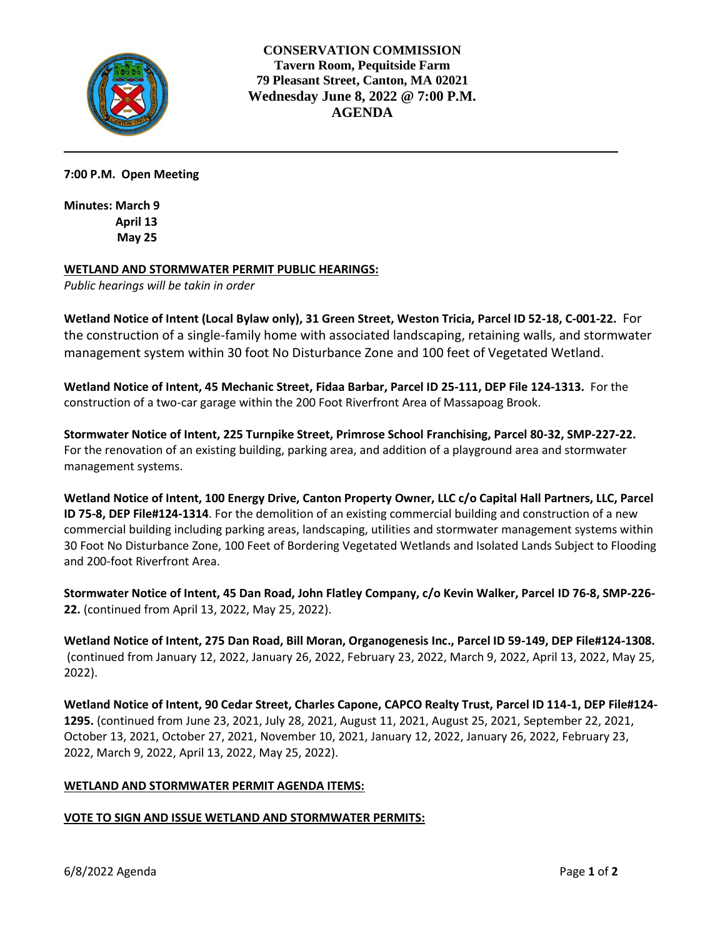

**CONSERVATION COMMISSION Tavern Room, Pequitside Farm 79 Pleasant Street, Canton, MA 02021 Wednesday June 8, 2022 @ 7:00 P.M. AGENDA** 

**7:00 P.M. Open Meeting**

**Minutes: March 9 April 13 May 25**

#### **WETLAND AND STORMWATER PERMIT PUBLIC HEARINGS:**

*Public hearings will be takin in order*

**Wetland Notice of Intent (Local Bylaw only), 31 Green Street, Weston Tricia, Parcel ID 52-18, C-001-22.** For the construction of a single-family home with associated landscaping, retaining walls, and stormwater management system within 30 foot No Disturbance Zone and 100 feet of Vegetated Wetland.

**Wetland Notice of Intent, 45 Mechanic Street, Fidaa Barbar, Parcel ID 25-111, DEP File 124-1313.** For the construction of a two-car garage within the 200 Foot Riverfront Area of Massapoag Brook.

**Stormwater Notice of Intent, 225 Turnpike Street, Primrose School Franchising, Parcel 80-32, SMP-227-22.** For the renovation of an existing building, parking area, and addition of a playground area and stormwater management systems.

**Wetland Notice of Intent, 100 Energy Drive, Canton Property Owner, LLC c/o Capital Hall Partners, LLC, Parcel ID 75-8, DEP File#124-1314**. For the demolition of an existing commercial building and construction of a new commercial building including parking areas, landscaping, utilities and stormwater management systems within 30 Foot No Disturbance Zone, 100 Feet of Bordering Vegetated Wetlands and Isolated Lands Subject to Flooding and 200-foot Riverfront Area.

**Stormwater Notice of Intent, 45 Dan Road, John Flatley Company, c/o Kevin Walker, Parcel ID 76-8, SMP-226- 22.** (continued from April 13, 2022, May 25, 2022).

**Wetland Notice of Intent, 275 Dan Road, Bill Moran, Organogenesis Inc., Parcel ID 59-149, DEP File#124-1308.** (continued from January 12, 2022, January 26, 2022, February 23, 2022, March 9, 2022, April 13, 2022, May 25, 2022).

**Wetland Notice of Intent, 90 Cedar Street, Charles Capone, CAPCO Realty Trust, Parcel ID 114-1, DEP File#124- 1295.** (continued from June 23, 2021, July 28, 2021, August 11, 2021, August 25, 2021, September 22, 2021, October 13, 2021, October 27, 2021, November 10, 2021, January 12, 2022, January 26, 2022, February 23, 2022, March 9, 2022, April 13, 2022, May 25, 2022).

# **WETLAND AND STORMWATER PERMIT AGENDA ITEMS:**

#### **VOTE TO SIGN AND ISSUE WETLAND AND STORMWATER PERMITS:**